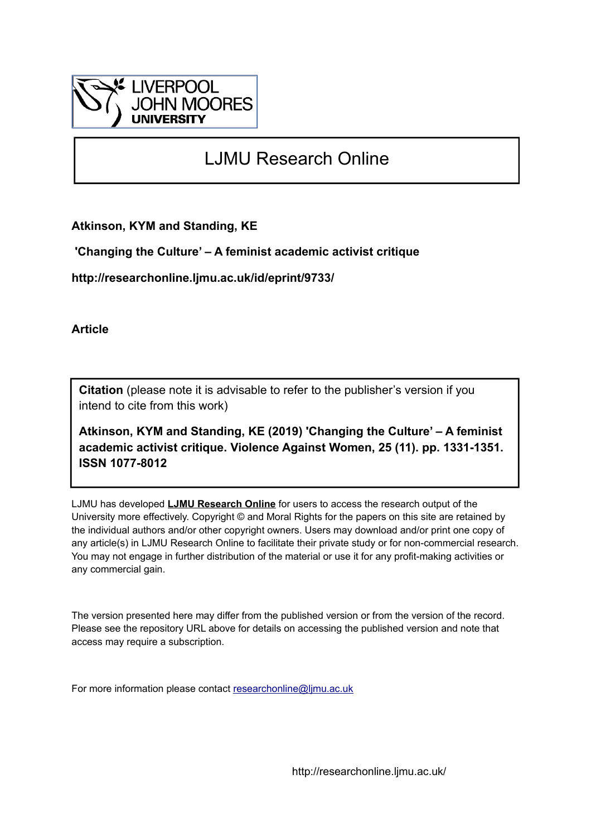

# LJMU Research Online

**Atkinson, KYM and Standing, KE**

 **'Changing the Culture' – A feminist academic activist critique**

**http://researchonline.ljmu.ac.uk/id/eprint/9733/**

**Article**

**Citation** (please note it is advisable to refer to the publisher's version if you intend to cite from this work)

**Atkinson, KYM and Standing, KE (2019) 'Changing the Culture' – A feminist academic activist critique. Violence Against Women, 25 (11). pp. 1331-1351. ISSN 1077-8012** 

LJMU has developed **[LJMU Research Online](http://researchonline.ljmu.ac.uk/)** for users to access the research output of the University more effectively. Copyright © and Moral Rights for the papers on this site are retained by the individual authors and/or other copyright owners. Users may download and/or print one copy of any article(s) in LJMU Research Online to facilitate their private study or for non-commercial research. You may not engage in further distribution of the material or use it for any profit-making activities or any commercial gain.

The version presented here may differ from the published version or from the version of the record. Please see the repository URL above for details on accessing the published version and note that access may require a subscription.

For more information please contact [researchonline@ljmu.ac.uk](mailto:researchonline@ljmu.ac.uk)

http://researchonline.ljmu.ac.uk/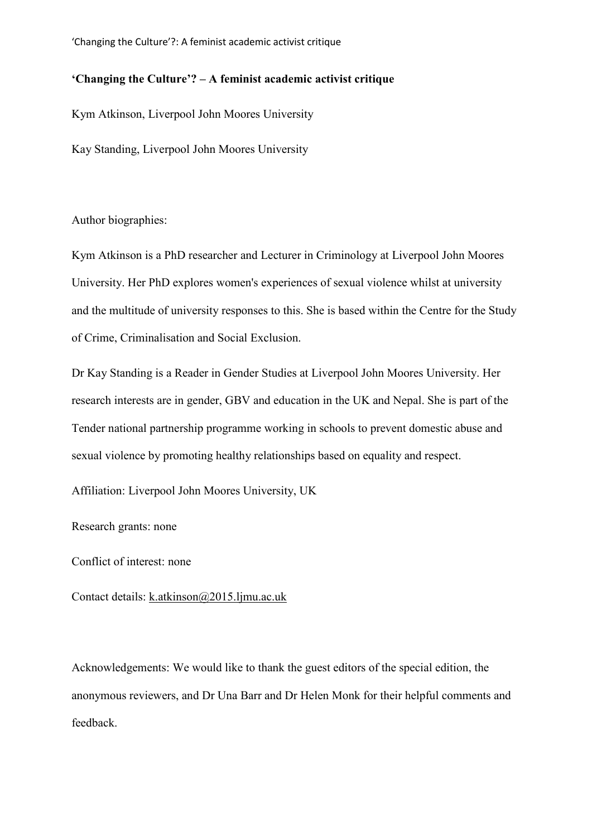# **'Changing the Culture'? – A feminist academic activist critique**

Kym Atkinson, Liverpool John Moores University

Kay Standing, Liverpool John Moores University

Author biographies:

Kym Atkinson is a PhD researcher and Lecturer in Criminology at Liverpool John Moores University. Her PhD explores women's experiences of sexual violence whilst at university and the multitude of university responses to this. She is based within the Centre for the Study of Crime, Criminalisation and Social Exclusion.

Dr Kay Standing is a Reader in Gender Studies at Liverpool John Moores University. Her research interests are in gender, GBV and education in the UK and Nepal. She is part of the Tender national partnership programme working in schools to prevent domestic abuse and sexual violence by promoting healthy relationships based on equality and respect.

Affiliation: Liverpool John Moores University, UK

Research grants: none

Conflict of interest: none

Contact details: [k.atkinson@2015.ljmu.ac.uk](mailto:k.atkinson@2015.ljmu.ac.uk)

Acknowledgements: We would like to thank the guest editors of the special edition, the anonymous reviewers, and Dr Una Barr and Dr Helen Monk for their helpful comments and feedback.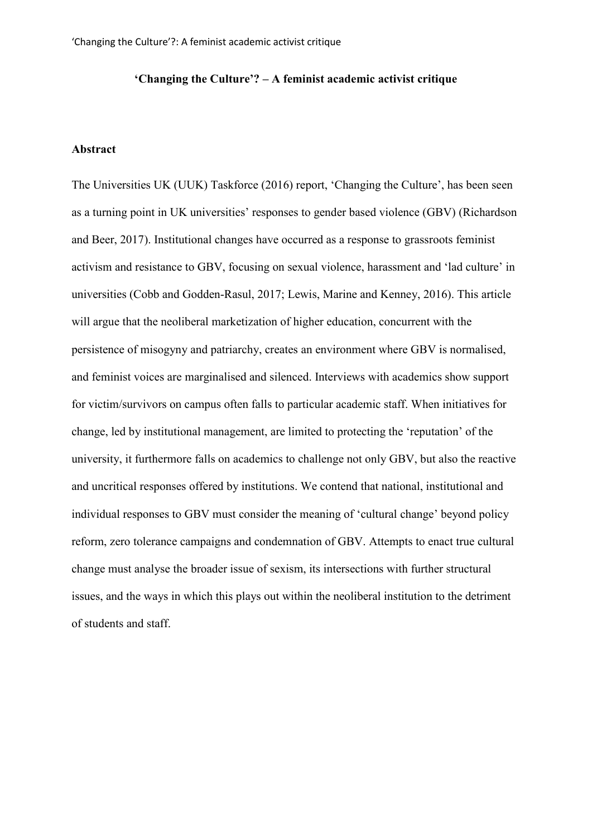## **'Changing the Culture'? – A feminist academic activist critique**

#### **Abstract**

The Universities UK (UUK) Taskforce (2016) report, 'Changing the Culture', has been seen as a turning point in UK universities' responses to gender based violence (GBV) (Richardson and Beer, 2017). Institutional changes have occurred as a response to grassroots feminist activism and resistance to GBV, focusing on sexual violence, harassment and 'lad culture' in universities (Cobb and Godden-Rasul, 2017; Lewis, Marine and Kenney, 2016). This article will argue that the neoliberal marketization of higher education, concurrent with the persistence of misogyny and patriarchy, creates an environment where GBV is normalised, and feminist voices are marginalised and silenced. Interviews with academics show support for victim/survivors on campus often falls to particular academic staff. When initiatives for change, led by institutional management, are limited to protecting the 'reputation' of the university, it furthermore falls on academics to challenge not only GBV, but also the reactive and uncritical responses offered by institutions. We contend that national, institutional and individual responses to GBV must consider the meaning of 'cultural change' beyond policy reform, zero tolerance campaigns and condemnation of GBV. Attempts to enact true cultural change must analyse the broader issue of sexism, its intersections with further structural issues, and the ways in which this plays out within the neoliberal institution to the detriment of students and staff.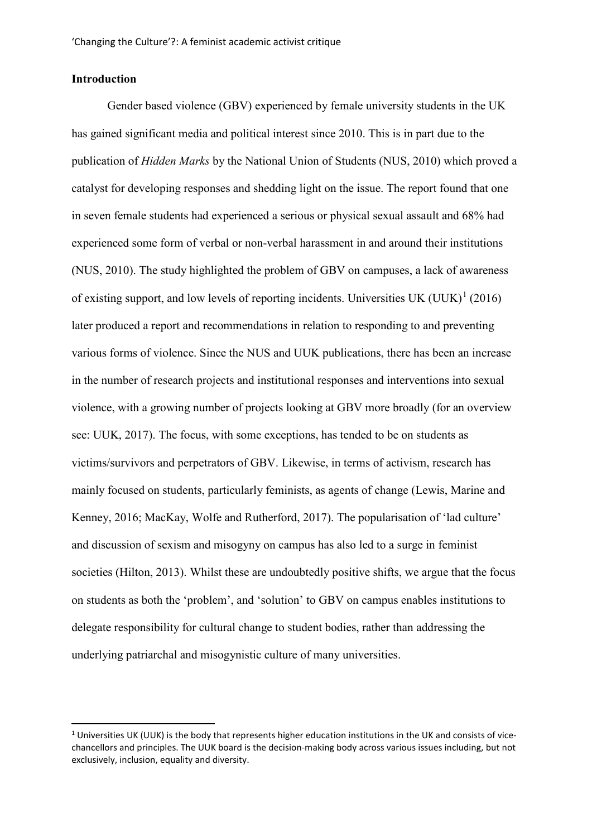## **Introduction**

Gender based violence (GBV) experienced by female university students in the UK has gained significant media and political interest since 2010. This is in part due to the publication of *Hidden Marks* by the National Union of Students (NUS, 2010) which proved a catalyst for developing responses and shedding light on the issue. The report found that one in seven female students had experienced a serious or physical sexual assault and 68% had experienced some form of verbal or non-verbal harassment in and around their institutions (NUS, 2010). The study highlighted the problem of GBV on campuses, a lack of awareness of existing support, and low levels of reporting incidents. Universities UK (UUK)<sup>[1](#page-3-0)</sup> (2016) later produced a report and recommendations in relation to responding to and preventing various forms of violence. Since the NUS and UUK publications, there has been an increase in the number of research projects and institutional responses and interventions into sexual violence, with a growing number of projects looking at GBV more broadly (for an overview see: UUK, 2017). The focus, with some exceptions, has tended to be on students as victims/survivors and perpetrators of GBV. Likewise, in terms of activism, research has mainly focused on students, particularly feminists, as agents of change (Lewis, Marine and Kenney, 2016; MacKay, Wolfe and Rutherford, 2017). The popularisation of 'lad culture' and discussion of sexism and misogyny on campus has also led to a surge in feminist societies (Hilton, 2013). Whilst these are undoubtedly positive shifts, we argue that the focus on students as both the 'problem', and 'solution' to GBV on campus enables institutions to delegate responsibility for cultural change to student bodies, rather than addressing the underlying patriarchal and misogynistic culture of many universities.

<span id="page-3-0"></span> $1$  Universities UK (UUK) is the body that represents higher education institutions in the UK and consists of vicechancellors and principles. The UUK board is the decision-making body across various issues including, but not exclusively, inclusion, equality and diversity.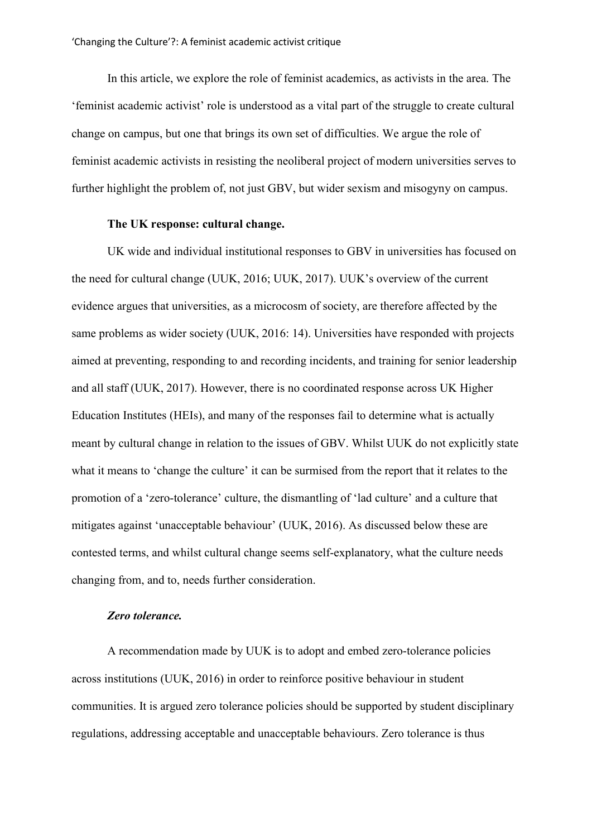In this article, we explore the role of feminist academics, as activists in the area. The 'feminist academic activist' role is understood as a vital part of the struggle to create cultural change on campus, but one that brings its own set of difficulties. We argue the role of feminist academic activists in resisting the neoliberal project of modern universities serves to further highlight the problem of, not just GBV, but wider sexism and misogyny on campus.

## **The UK response: cultural change.**

UK wide and individual institutional responses to GBV in universities has focused on the need for cultural change (UUK, 2016; UUK, 2017). UUK's overview of the current evidence argues that universities, as a microcosm of society, are therefore affected by the same problems as wider society (UUK, 2016: 14). Universities have responded with projects aimed at preventing, responding to and recording incidents, and training for senior leadership and all staff (UUK, 2017). However, there is no coordinated response across UK Higher Education Institutes (HEIs), and many of the responses fail to determine what is actually meant by cultural change in relation to the issues of GBV. Whilst UUK do not explicitly state what it means to 'change the culture' it can be surmised from the report that it relates to the promotion of a 'zero-tolerance' culture, the dismantling of 'lad culture' and a culture that mitigates against 'unacceptable behaviour' (UUK, 2016). As discussed below these are contested terms, and whilst cultural change seems self-explanatory, what the culture needs changing from, and to, needs further consideration.

#### *Zero tolerance.*

A recommendation made by UUK is to adopt and embed zero-tolerance policies across institutions (UUK, 2016) in order to reinforce positive behaviour in student communities. It is argued zero tolerance policies should be supported by student disciplinary regulations, addressing acceptable and unacceptable behaviours. Zero tolerance is thus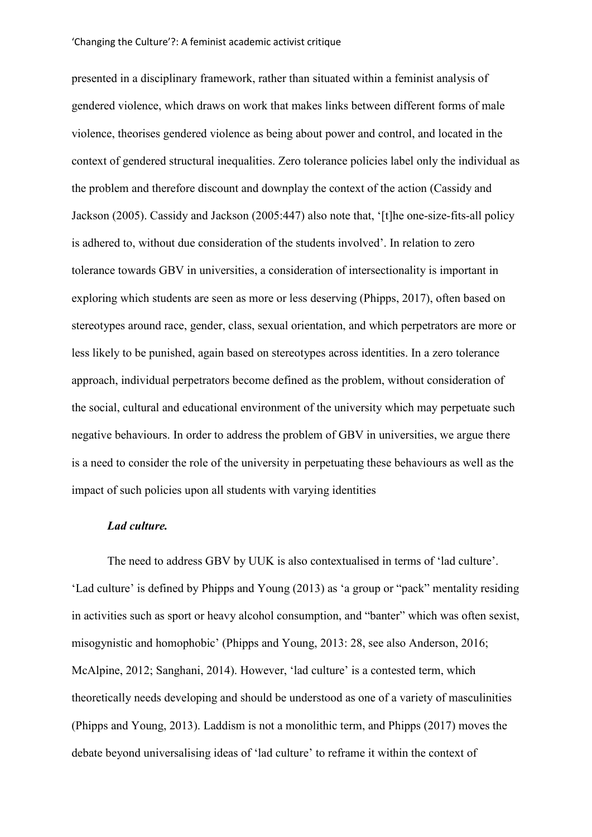presented in a disciplinary framework, rather than situated within a feminist analysis of gendered violence, which draws on work that makes links between different forms of male violence, theorises gendered violence as being about power and control, and located in the context of gendered structural inequalities. Zero tolerance policies label only the individual as the problem and therefore discount and downplay the context of the action (Cassidy and Jackson (2005). Cassidy and Jackson (2005:447) also note that, '[t]he one-size-fits-all policy is adhered to, without due consideration of the students involved'. In relation to zero tolerance towards GBV in universities, a consideration of intersectionality is important in exploring which students are seen as more or less deserving (Phipps, 2017), often based on stereotypes around race, gender, class, sexual orientation, and which perpetrators are more or less likely to be punished, again based on stereotypes across identities. In a zero tolerance approach, individual perpetrators become defined as the problem, without consideration of the social, cultural and educational environment of the university which may perpetuate such negative behaviours. In order to address the problem of GBV in universities, we argue there is a need to consider the role of the university in perpetuating these behaviours as well as the impact of such policies upon all students with varying identities

#### *Lad culture.*

The need to address GBV by UUK is also contextualised in terms of 'lad culture'. 'Lad culture' is defined by Phipps and Young (2013) as 'a group or "pack" mentality residing in activities such as sport or heavy alcohol consumption, and "banter" which was often sexist, misogynistic and homophobic' (Phipps and Young, 2013: 28, see also Anderson, 2016; McAlpine, 2012; Sanghani, 2014). However, 'lad culture' is a contested term, which theoretically needs developing and should be understood as one of a variety of masculinities (Phipps and Young, 2013). Laddism is not a monolithic term, and Phipps (2017) moves the debate beyond universalising ideas of 'lad culture' to reframe it within the context of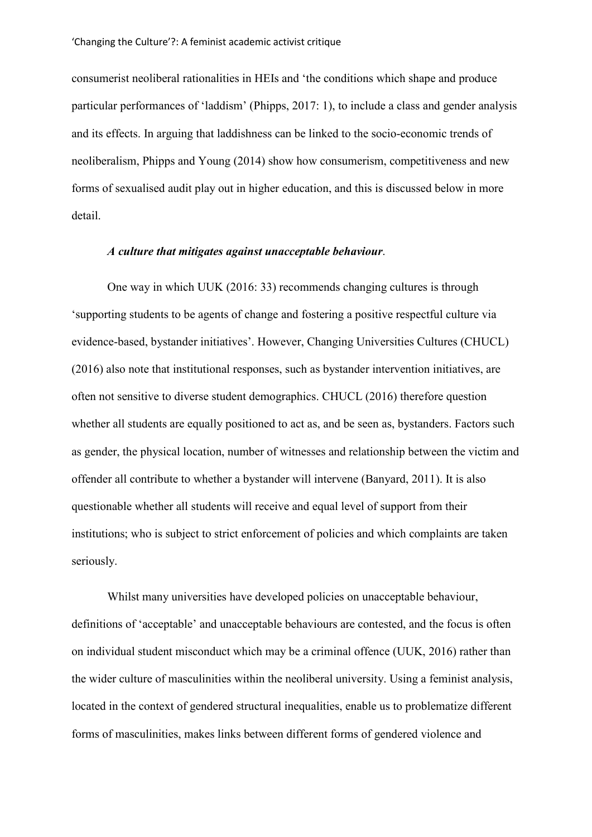consumerist neoliberal rationalities in HEIs and 'the conditions which shape and produce particular performances of 'laddism' (Phipps, 2017: 1), to include a class and gender analysis and its effects. In arguing that laddishness can be linked to the socio-economic trends of neoliberalism, Phipps and Young (2014) show how consumerism, competitiveness and new forms of sexualised audit play out in higher education, and this is discussed below in more detail.

#### *A culture that mitigates against unacceptable behaviour*.

One way in which UUK (2016: 33) recommends changing cultures is through 'supporting students to be agents of change and fostering a positive respectful culture via evidence-based, bystander initiatives'. However, Changing Universities Cultures (CHUCL) (2016) also note that institutional responses, such as bystander intervention initiatives, are often not sensitive to diverse student demographics. CHUCL (2016) therefore question whether all students are equally positioned to act as, and be seen as, bystanders. Factors such as gender, the physical location, number of witnesses and relationship between the victim and offender all contribute to whether a bystander will intervene (Banyard, 2011). It is also questionable whether all students will receive and equal level of support from their institutions; who is subject to strict enforcement of policies and which complaints are taken seriously.

Whilst many universities have developed policies on unacceptable behaviour, definitions of 'acceptable' and unacceptable behaviours are contested, and the focus is often on individual student misconduct which may be a criminal offence (UUK, 2016) rather than the wider culture of masculinities within the neoliberal university. Using a feminist analysis, located in the context of gendered structural inequalities, enable us to problematize different forms of masculinities, makes links between different forms of gendered violence and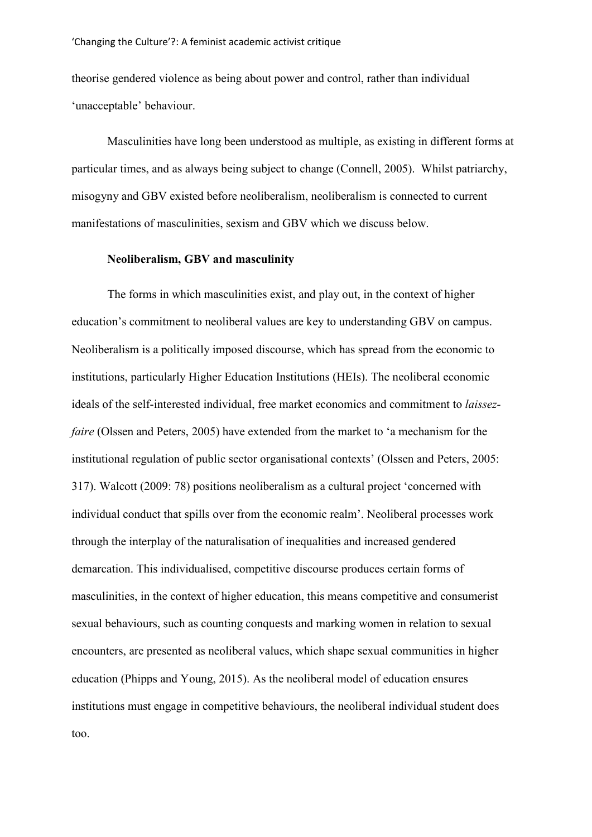theorise gendered violence as being about power and control, rather than individual 'unacceptable' behaviour.

Masculinities have long been understood as multiple, as existing in different forms at particular times, and as always being subject to change (Connell, 2005). Whilst patriarchy, misogyny and GBV existed before neoliberalism, neoliberalism is connected to current manifestations of masculinities, sexism and GBV which we discuss below.

## **Neoliberalism, GBV and masculinity**

The forms in which masculinities exist, and play out, in the context of higher education's commitment to neoliberal values are key to understanding GBV on campus. Neoliberalism is a politically imposed discourse, which has spread from the economic to institutions, particularly Higher Education Institutions (HEIs). The neoliberal economic ideals of the self-interested individual, free market economics and commitment to *laissezfaire* (Olssen and Peters, 2005) have extended from the market to 'a mechanism for the institutional regulation of public sector organisational contexts' (Olssen and Peters, 2005: 317). Walcott (2009: 78) positions neoliberalism as a cultural project 'concerned with individual conduct that spills over from the economic realm'. Neoliberal processes work through the interplay of the naturalisation of inequalities and increased gendered demarcation. This individualised, competitive discourse produces certain forms of masculinities, in the context of higher education, this means competitive and consumerist sexual behaviours, such as counting conquests and marking women in relation to sexual encounters, are presented as neoliberal values, which shape sexual communities in higher education (Phipps and Young, 2015). As the neoliberal model of education ensures institutions must engage in competitive behaviours, the neoliberal individual student does too.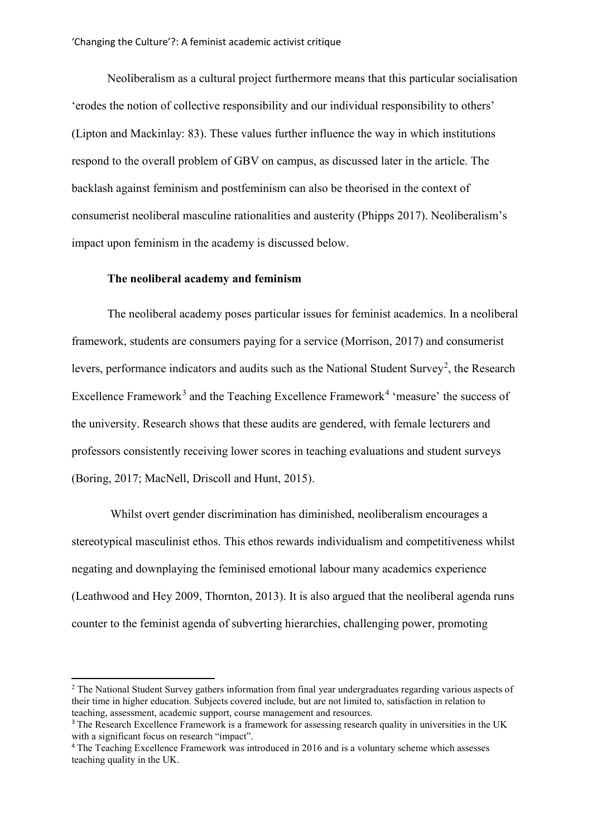Neoliberalism as a cultural project furthermore means that this particular socialisation 'erodes the notion of collective responsibility and our individual responsibility to others' (Lipton and Mackinlay: 83). These values further influence the way in which institutions respond to the overall problem of GBV on campus, as discussed later in the article. The backlash against feminism and postfeminism can also be theorised in the context of consumerist neoliberal masculine rationalities and austerity (Phipps 2017). Neoliberalism's impact upon feminism in the academy is discussed below.

## **The neoliberal academy and feminism**

 $\overline{a}$ 

The neoliberal academy poses particular issues for feminist academics. In a neoliberal framework, students are consumers paying for a service (Morrison, 2017) and consumerist levers, performance indicators and audits such as the National Student Survey<sup>[2](#page-8-0)</sup>, the Research Excellence Framework<sup>[3](#page-8-1)</sup> and the Teaching Excellence Framework<sup>[4](#page-8-2)</sup> 'measure' the success of the university. Research shows that these audits are gendered, with female lecturers and professors consistently receiving lower scores in teaching evaluations and student surveys (Boring, 2017; MacNell, Driscoll and Hunt, 2015).

Whilst overt gender discrimination has diminished, neoliberalism encourages a stereotypical masculinist ethos. This ethos rewards individualism and competitiveness whilst negating and downplaying the feminised emotional labour many academics experience (Leathwood and Hey [2009,](http://www.tandfonline.com/doi/full/10.1080/09540253.2017.1296117?scroll=top&needAccess=true) Thornton, 2013). It is also argued that the neoliberal agenda runs counter to the feminist agenda of subverting hierarchies, challenging power, promoting

<span id="page-8-0"></span><sup>&</sup>lt;sup>2</sup> The National Student Survey gathers information from final year undergraduates regarding various aspects of their time in higher education. Subjects covered include, but are not limited to, satisfaction in relation to teaching, assessment, academic support, course management and resources.

<span id="page-8-1"></span><sup>&</sup>lt;sup>3</sup> The Research Excellence Framework is a framework for assessing research quality in universities in the UK with a significant focus on research "impact".

<span id="page-8-2"></span><sup>4</sup> The Teaching Excellence Framework was introduced in 2016 and is a voluntary scheme which assesses teaching quality in the UK.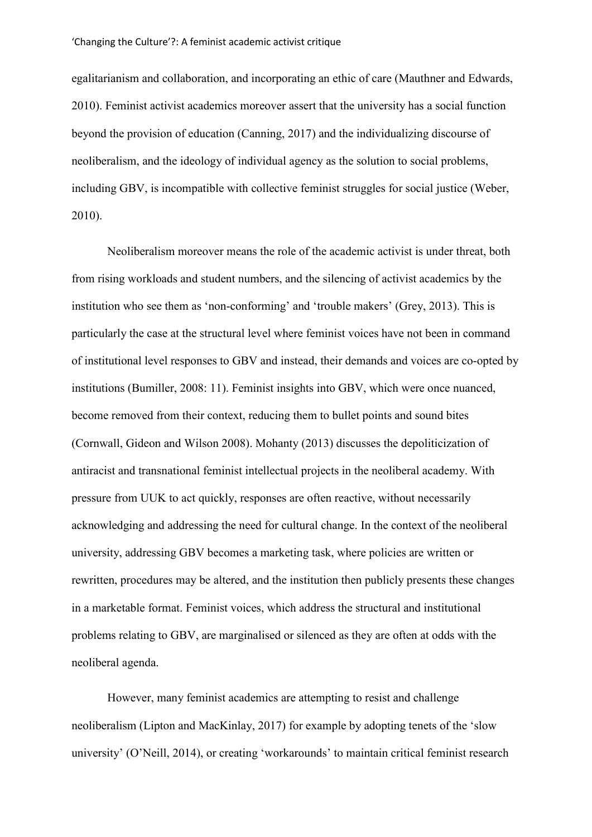egalitarianism and collaboration, and incorporating an ethic of care (Mauthner and Edwards, [2010\)](http://www.tandfonline.com/doi/full/10.1080/09540253.2017.1296117?scroll=top&needAccess=true). Feminist activist academics moreover assert that the university has a social function beyond the provision of education (Canning, 2017) and the individualizing discourse of neoliberalism, and the ideology of individual agency as the solution to social problems, including GBV, is incompatible with collective feminist struggles for social justice (Weber, 2010).

Neoliberalism moreover means the role of the academic activist is under threat, both from rising workloads and student numbers, and the silencing of activist academics by the institution who see them as 'non-conforming' and 'trouble makers' (Grey, 2013). This is particularly the case at the structural level where feminist voices have not been in command of institutional level responses to GBV and instead, their demands and voices are co-opted by institutions (Bumiller, 2008: 11). Feminist insights into GBV, which were once nuanced, become removed from their context, reducing them to bullet points and sound bites (Cornwall, Gideon and Wilson 2008). Mohanty (2013) discusses the depoliticization of antiracist and transnational feminist intellectual projects in the neoliberal academy. With pressure from UUK to act quickly, responses are often reactive, without necessarily acknowledging and addressing the need for cultural change. In the context of the neoliberal university, addressing GBV becomes a marketing task, where policies are written or rewritten, procedures may be altered, and the institution then publicly presents these changes in a marketable format. Feminist voices, which address the structural and institutional problems relating to GBV, are marginalised or silenced as they are often at odds with the neoliberal agenda.

However, many feminist academics are attempting to resist and challenge neoliberalism (Lipton and MacKinlay, 2017) for example by adopting tenets of the 'slow university' (O'Neill, 2014), or creating 'workarounds' to maintain critical feminist research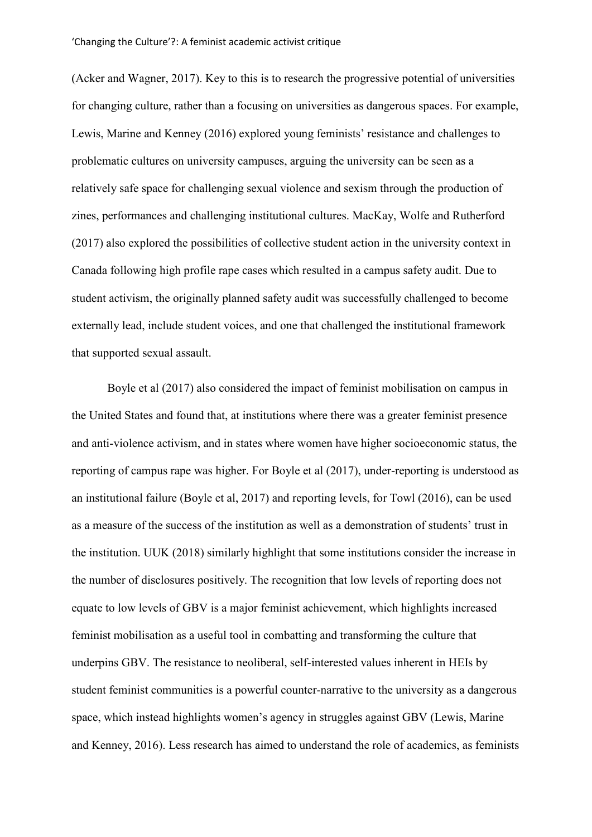(Acker and Wagner, 2017). Key to this is to research the progressive potential of universities for changing culture, rather than a focusing on universities as dangerous spaces. For example, Lewis, Marine and Kenney (2016) explored young feminists' resistance and challenges to problematic cultures on university campuses, arguing the university can be seen as a relatively safe space for challenging sexual violence and sexism through the production of zines, performances and challenging institutional cultures. MacKay, Wolfe and Rutherford (2017) also explored the possibilities of collective student action in the university context in Canada following high profile rape cases which resulted in a campus safety audit. Due to student activism, the originally planned safety audit was successfully challenged to become externally lead, include student voices, and one that challenged the institutional framework that supported sexual assault.

Boyle et al (2017) also considered the impact of feminist mobilisation on campus in the United States and found that, at institutions where there was a greater feminist presence and anti-violence activism, and in states where women have higher socioeconomic status, the reporting of campus rape was higher. For Boyle et al (2017), under-reporting is understood as an institutional failure (Boyle et al, 2017) and reporting levels, for Towl (2016), can be used as a measure of the success of the institution as well as a demonstration of students' trust in the institution. UUK (2018) similarly highlight that some institutions consider the increase in the number of disclosures positively. The recognition that low levels of reporting does not equate to low levels of GBV is a major feminist achievement, which highlights increased feminist mobilisation as a useful tool in combatting and transforming the culture that underpins GBV. The resistance to neoliberal, self-interested values inherent in HEIs by student feminist communities is a powerful counter-narrative to the university as a dangerous space, which instead highlights women's agency in struggles against GBV (Lewis, Marine and Kenney, 2016). Less research has aimed to understand the role of academics, as feminists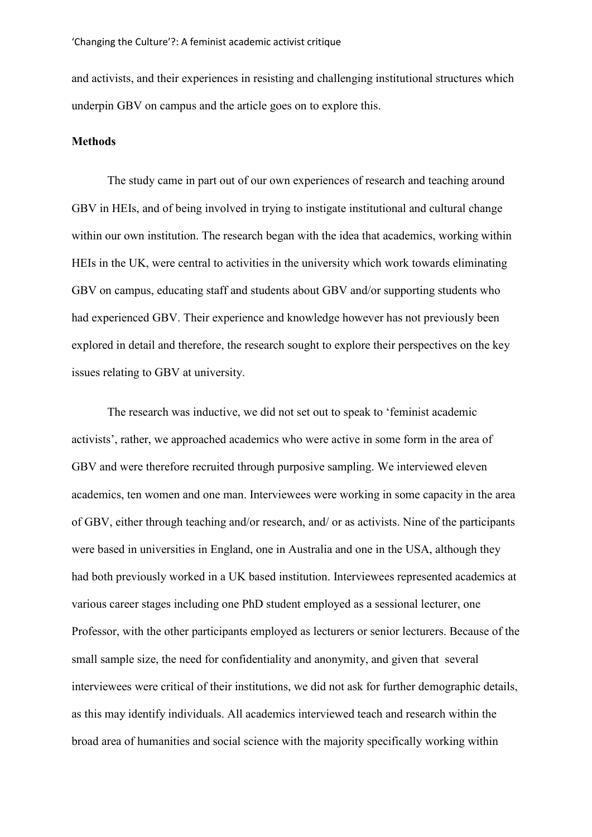and activists, and their experiences in resisting and challenging institutional structures which underpin GBV on campus and the article goes on to explore this.

#### **Methods**

The study came in part out of our own experiences of research and teaching around GBV in HEIs, and of being involved in trying to instigate institutional and cultural change within our own institution. The research began with the idea that academics, working within HEIs in the UK, were central to activities in the university which work towards eliminating GBV on campus, educating staff and students about GBV and/or supporting students who had experienced GBV. Their experience and knowledge however has not previously been explored in detail and therefore, the research sought to explore their perspectives on the key issues relating to GBV at university.

The research was inductive, we did not set out to speak to 'feminist academic activists', rather, we approached academics who were active in some form in the area of GBV and were therefore recruited through purposive sampling. We interviewed eleven academics, ten women and one man. Interviewees were working in some capacity in the area of GBV, either through teaching and/or research, and/ or as activists. Nine of the participants were based in universities in England, one in Australia and one in the USA, although they had both previously worked in a UK based institution. Interviewees represented academics at various career stages including one PhD student employed as a sessional lecturer, one Professor, with the other participants employed as lecturers or senior lecturers. Because of the small sample size, the need for confidentiality and anonymity, and given that several interviewees were critical of their institutions, we did not ask for further demographic details, as this may identify individuals. All academics interviewed teach and research within the broad area of humanities and social science with the majority specifically working within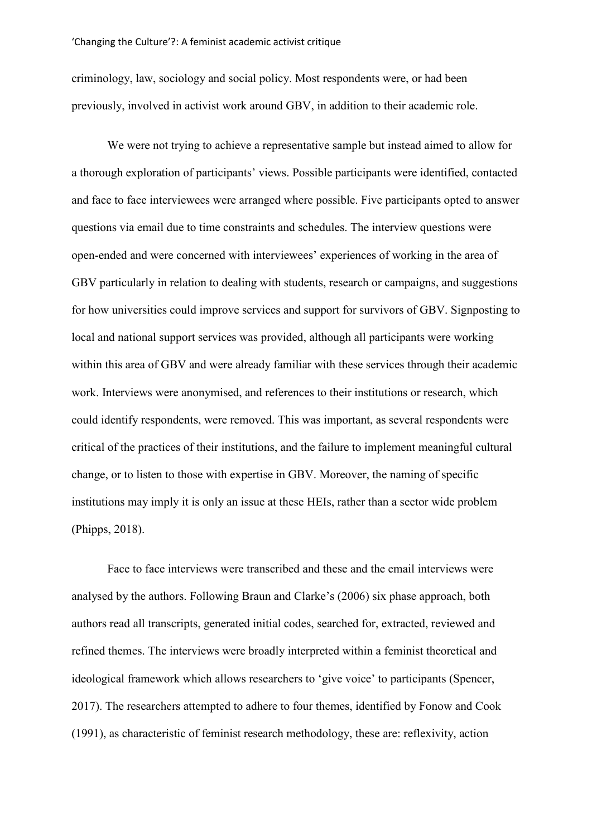criminology, law, sociology and social policy. Most respondents were, or had been previously, involved in activist work around GBV, in addition to their academic role.

We were not trying to achieve a representative sample but instead aimed to allow for a thorough exploration of participants' views. Possible participants were identified, contacted and face to face interviewees were arranged where possible. Five participants opted to answer questions via email due to time constraints and schedules. The interview questions were open-ended and were concerned with interviewees' experiences of working in the area of GBV particularly in relation to dealing with students, research or campaigns, and suggestions for how universities could improve services and support for survivors of GBV. Signposting to local and national support services was provided, although all participants were working within this area of GBV and were already familiar with these services through their academic work. Interviews were anonymised, and references to their institutions or research, which could identify respondents, were removed. This was important, as several respondents were critical of the practices of their institutions, and the failure to implement meaningful cultural change, or to listen to those with expertise in GBV. Moreover, the naming of specific institutions may imply it is only an issue at these HEIs, rather than a sector wide problem (Phipps, 2018).

Face to face interviews were transcribed and these and the email interviews were analysed by the authors. Following Braun and Clarke's (2006) six phase approach, both authors read all transcripts, generated initial codes, searched for, extracted, reviewed and refined themes. The interviews were broadly interpreted within a feminist theoretical and ideological framework which allows researchers to 'give voice' to participants (Spencer, 2017). The researchers attempted to adhere to four themes, identified by Fonow and Cook (1991), as characteristic of feminist research methodology, these are: reflexivity, action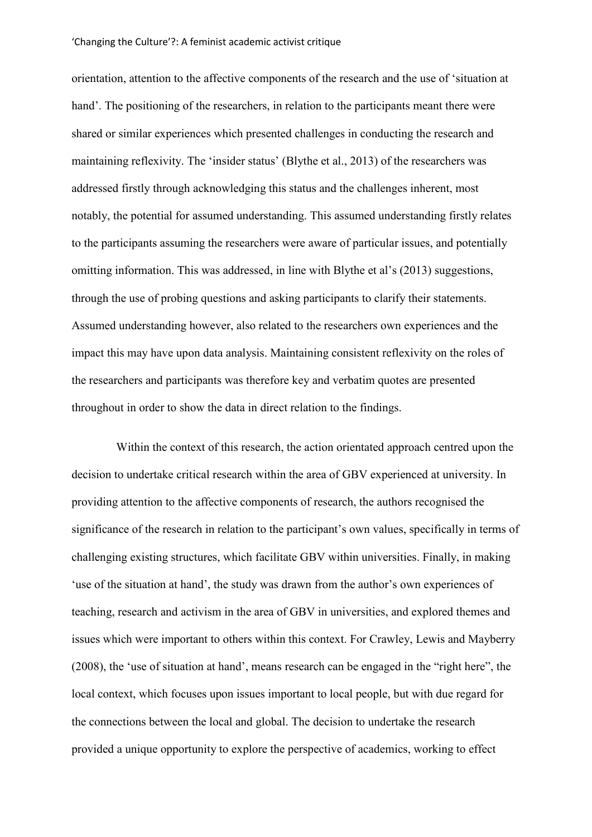orientation, attention to the affective components of the research and the use of 'situation at hand'. The positioning of the researchers, in relation to the participants meant there were shared or similar experiences which presented challenges in conducting the research and maintaining reflexivity. The 'insider status' (Blythe et al., 2013) of the researchers was addressed firstly through acknowledging this status and the challenges inherent, most notably, the potential for assumed understanding. This assumed understanding firstly relates to the participants assuming the researchers were aware of particular issues, and potentially omitting information. This was addressed, in line with Blythe et al's (2013) suggestions, through the use of probing questions and asking participants to clarify their statements. Assumed understanding however, also related to the researchers own experiences and the impact this may have upon data analysis. Maintaining consistent reflexivity on the roles of the researchers and participants was therefore key and verbatim quotes are presented throughout in order to show the data in direct relation to the findings.

Within the context of this research, the action orientated approach centred upon the decision to undertake critical research within the area of GBV experienced at university. In providing attention to the affective components of research, the authors recognised the significance of the research in relation to the participant's own values, specifically in terms of challenging existing structures, which facilitate GBV within universities. Finally, in making 'use of the situation at hand', the study was drawn from the author's own experiences of teaching, research and activism in the area of GBV in universities, and explored themes and issues which were important to others within this context. For Crawley, Lewis and Mayberry (2008), the 'use of situation at hand', means research can be engaged in the "right here", the local context, which focuses upon issues important to local people, but with due regard for the connections between the local and global. The decision to undertake the research provided a unique opportunity to explore the perspective of academics, working to effect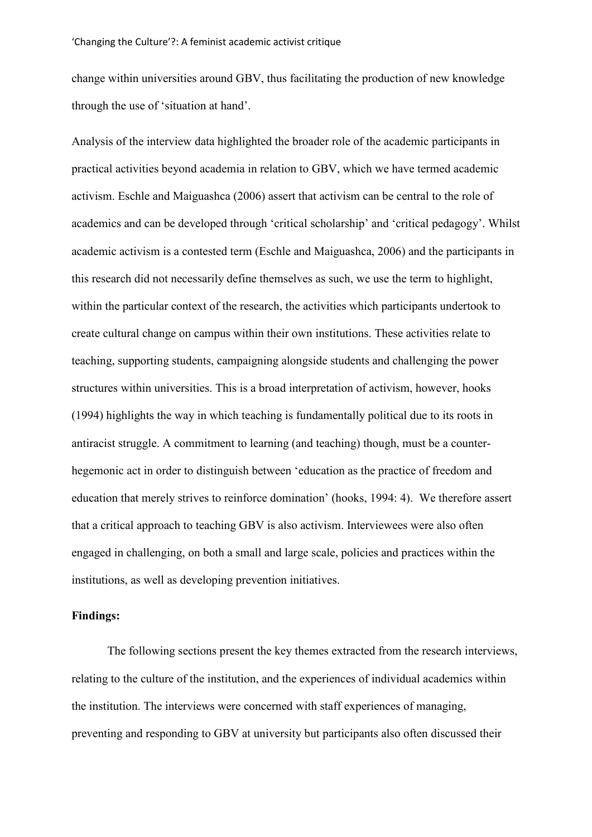change within universities around GBV, thus facilitating the production of new knowledge through the use of 'situation at hand'.

Analysis of the interview data highlighted the broader role of the academic participants in practical activities beyond academia in relation to GBV, which we have termed academic activism. Eschle and Maiguashca (2006) assert that activism can be central to the role of academics and can be developed through 'critical scholarship' and 'critical pedagogy'. Whilst academic activism is a contested term (Eschle and Maiguashca, 2006) and the participants in this research did not necessarily define themselves as such, we use the term to highlight, within the particular context of the research, the activities which participants undertook to create cultural change on campus within their own institutions. These activities relate to teaching, supporting students, campaigning alongside students and challenging the power structures within universities. This is a broad interpretation of activism, however, hooks (1994) highlights the way in which teaching is fundamentally political due to its roots in antiracist struggle. A commitment to learning (and teaching) though, must be a counterhegemonic act in order to distinguish between 'education as the practice of freedom and education that merely strives to reinforce domination' (hooks, 1994: 4). We therefore assert that a critical approach to teaching GBV is also activism. Interviewees were also often engaged in challenging, on both a small and large scale, policies and practices within the institutions, as well as developing prevention initiatives.

# **Findings:**

The following sections present the key themes extracted from the research interviews, relating to the culture of the institution, and the experiences of individual academics within the institution. The interviews were concerned with staff experiences of managing, preventing and responding to GBV at university but participants also often discussed their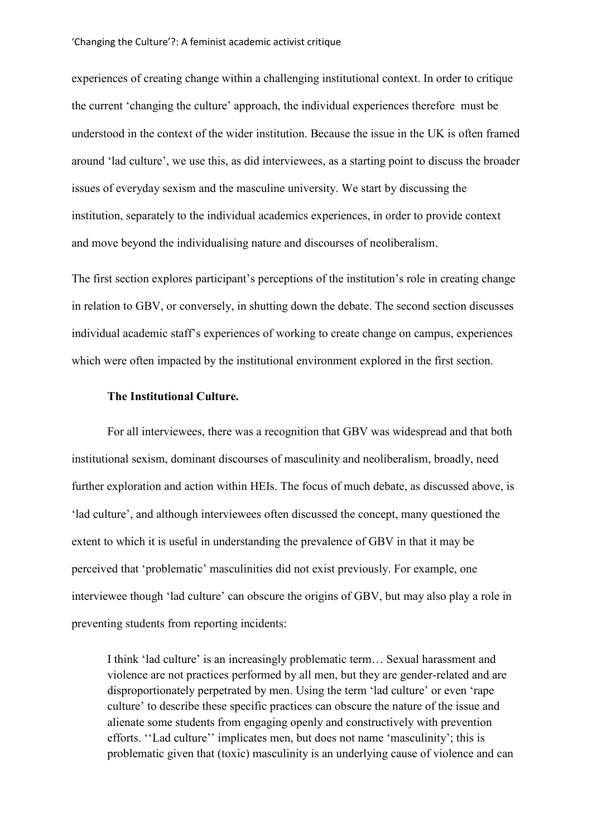experiences of creating change within a challenging institutional context. In order to critique the current 'changing the culture' approach, the individual experiences therefore must be understood in the context of the wider institution. Because the issue in the UK is often framed around 'lad culture', we use this, as did interviewees, as a starting point to discuss the broader issues of everyday sexism and the masculine university. We start by discussing the institution, separately to the individual academics experiences, in order to provide context and move beyond the individualising nature and discourses of neoliberalism.

The first section explores participant's perceptions of the institution's role in creating change in relation to GBV, or conversely, in shutting down the debate. The second section discusses individual academic staff's experiences of working to create change on campus, experiences which were often impacted by the institutional environment explored in the first section.

#### **The Institutional Culture.**

For all interviewees, there was a recognition that GBV was widespread and that both institutional sexism, dominant discourses of masculinity and neoliberalism, broadly, need further exploration and action within HEIs. The focus of much debate, as discussed above, is 'lad culture', and although interviewees often discussed the concept, many questioned the extent to which it is useful in understanding the prevalence of GBV in that it may be perceived that 'problematic' masculinities did not exist previously. For example, one interviewee though 'lad culture' can obscure the origins of GBV, but may also play a role in preventing students from reporting incidents:

I think 'lad culture' is an increasingly problematic term… Sexual harassment and violence are not practices performed by all men, but they are gender-related and are disproportionately perpetrated by men. Using the term 'lad culture' or even 'rape culture' to describe these specific practices can obscure the nature of the issue and alienate some students from engaging openly and constructively with prevention efforts. ''Lad culture'' implicates men, but does not name 'masculinity'; this is problematic given that (toxic) masculinity is an underlying cause of violence and can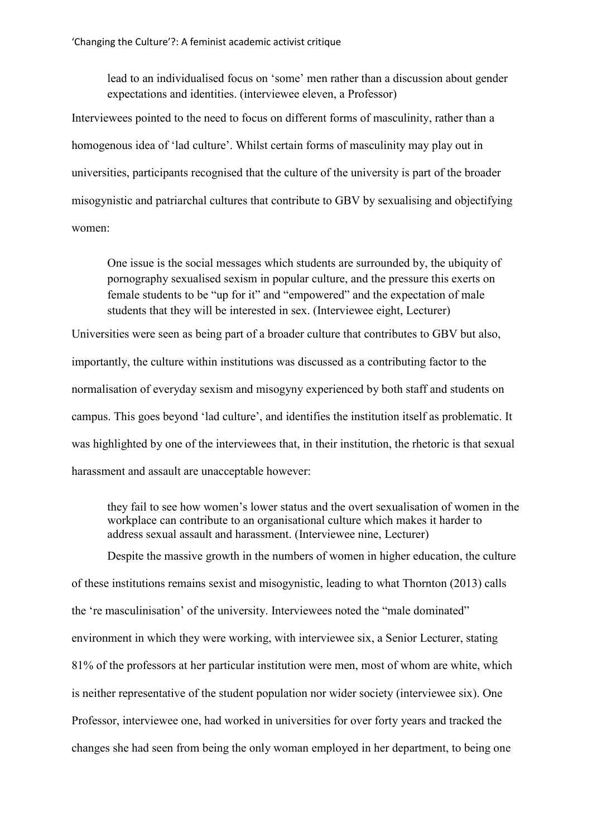lead to an individualised focus on 'some' men rather than a discussion about gender expectations and identities. (interviewee eleven, a Professor)

Interviewees pointed to the need to focus on different forms of masculinity, rather than a homogenous idea of 'lad culture'. Whilst certain forms of masculinity may play out in universities, participants recognised that the culture of the university is part of the broader misogynistic and patriarchal cultures that contribute to GBV by sexualising and objectifying women:

One issue is the social messages which students are surrounded by, the ubiquity of pornography sexualised sexism in popular culture, and the pressure this exerts on female students to be "up for it" and "empowered" and the expectation of male students that they will be interested in sex. (Interviewee eight, Lecturer)

Universities were seen as being part of a broader culture that contributes to GBV but also, importantly, the culture within institutions was discussed as a contributing factor to the normalisation of everyday sexism and misogyny experienced by both staff and students on campus. This goes beyond 'lad culture', and identifies the institution itself as problematic. It was highlighted by one of the interviewees that, in their institution, the rhetoric is that sexual harassment and assault are unacceptable however:

they fail to see how women's lower status and the overt sexualisation of women in the workplace can contribute to an organisational culture which makes it harder to address sexual assault and harassment. (Interviewee nine, Lecturer)

Despite the massive growth in the numbers of women in higher education, the culture of these institutions remains sexist and misogynistic, leading to what Thornton (2013) calls the 're masculinisation' of the university. Interviewees noted the "male dominated" environment in which they were working, with interviewee six, a Senior Lecturer, stating 81% of the professors at her particular institution were men, most of whom are white, which is neither representative of the student population nor wider society (interviewee six). One Professor, interviewee one, had worked in universities for over forty years and tracked the changes she had seen from being the only woman employed in her department, to being one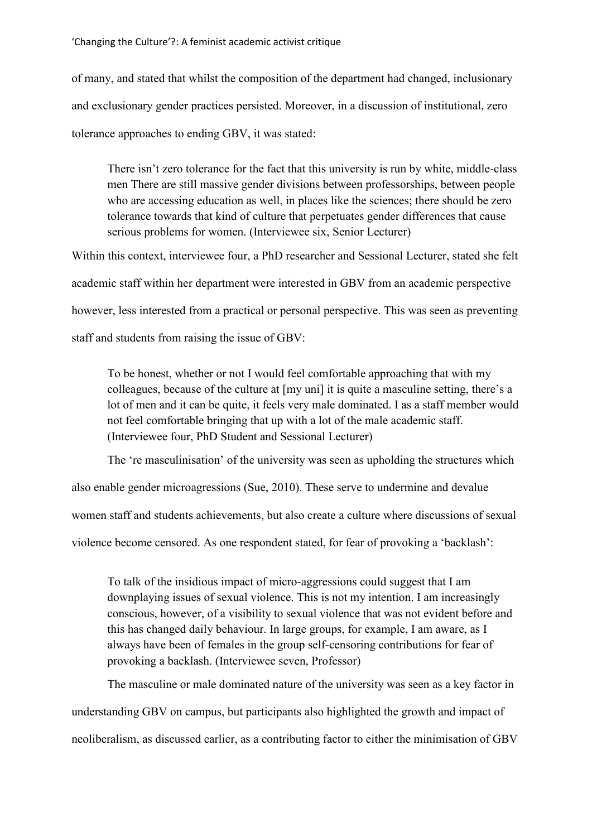of many, and stated that whilst the composition of the department had changed, inclusionary and exclusionary gender practices persisted. Moreover, in a discussion of institutional, zero tolerance approaches to ending GBV, it was stated:

There isn't zero tolerance for the fact that this university is run by white, middle-class men There are still massive gender divisions between professorships, between people who are accessing education as well, in places like the sciences; there should be zero tolerance towards that kind of culture that perpetuates gender differences that cause serious problems for women. (Interviewee six, Senior Lecturer)

Within this context, interviewee four, a PhD researcher and Sessional Lecturer, stated she felt academic staff within her department were interested in GBV from an academic perspective however, less interested from a practical or personal perspective. This was seen as preventing staff and students from raising the issue of GBV:

To be honest, whether or not I would feel comfortable approaching that with my colleagues, because of the culture at [my uni] it is quite a masculine setting, there's a lot of men and it can be quite, it feels very male dominated. I as a staff member would not feel comfortable bringing that up with a lot of the male academic staff. (Interviewee four, PhD Student and Sessional Lecturer)

The 're masculinisation' of the university was seen as upholding the structures which also enable gender microagressions (Sue, 2010). These serve to undermine and devalue

women staff and students achievements, but also create a culture where discussions of sexual

violence become censored. As one respondent stated, for fear of provoking a 'backlash':

To talk of the insidious impact of micro-aggressions could suggest that I am downplaying issues of sexual violence. This is not my intention. I am increasingly conscious, however, of a visibility to sexual violence that was not evident before and this has changed daily behaviour. In large groups, for example, I am aware, as I always have been of females in the group self-censoring contributions for fear of provoking a backlash. (Interviewee seven, Professor)

The masculine or male dominated nature of the university was seen as a key factor in understanding GBV on campus, but participants also highlighted the growth and impact of neoliberalism, as discussed earlier, as a contributing factor to either the minimisation of GBV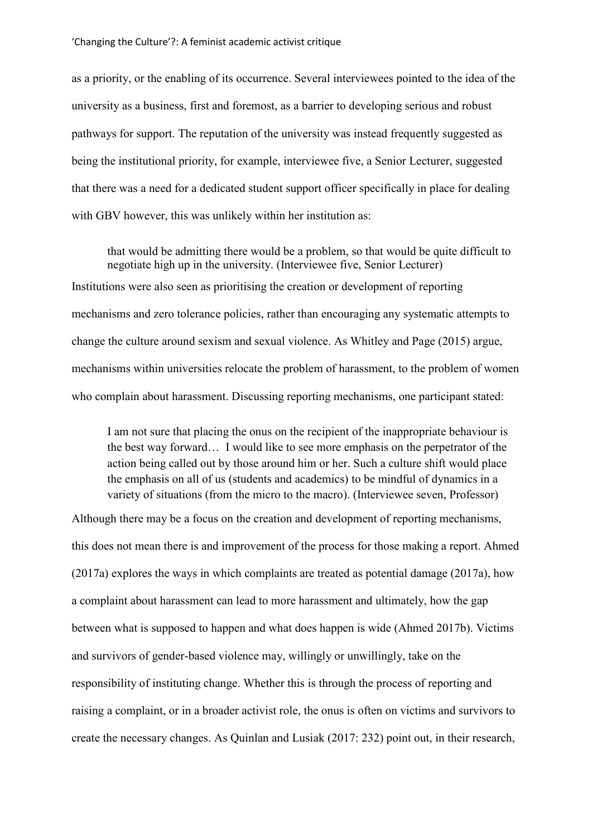as a priority, or the enabling of its occurrence. Several interviewees pointed to the idea of the university as a business, first and foremost, as a barrier to developing serious and robust pathways for support. The reputation of the university was instead frequently suggested as being the institutional priority, for example, interviewee five, a Senior Lecturer, suggested that there was a need for a dedicated student support officer specifically in place for dealing with GBV however, this was unlikely within her institution as:

that would be admitting there would be a problem, so that would be quite difficult to negotiate high up in the university. (Interviewee five, Senior Lecturer) Institutions were also seen as prioritising the creation or development of reporting mechanisms and zero tolerance policies, rather than encouraging any systematic attempts to change the culture around sexism and sexual violence. As Whitley and Page (2015) argue, mechanisms within universities relocate the problem of harassment, to the problem of women who complain about harassment. Discussing reporting mechanisms, one participant stated:

I am not sure that placing the onus on the recipient of the inappropriate behaviour is the best way forward… I would like to see more emphasis on the perpetrator of the action being called out by those around him or her. Such a culture shift would place the emphasis on all of us (students and academics) to be mindful of dynamics in a variety of situations (from the micro to the macro). (Interviewee seven, Professor)

Although there may be a focus on the creation and development of reporting mechanisms, this does not mean there is and improvement of the process for those making a report. Ahmed (2017a) explores the ways in which complaints are treated as potential damage (2017a), how a complaint about harassment can lead to more harassment and ultimately, how the gap between what is supposed to happen and what does happen is wide (Ahmed 2017b). Victims and survivors of gender-based violence may, willingly or unwillingly, take on the responsibility of instituting change. Whether this is through the process of reporting and raising a complaint, or in a broader activist role, the onus is often on victims and survivors to create the necessary changes. As Quinlan and Lusiak (2017: 232) point out, in their research,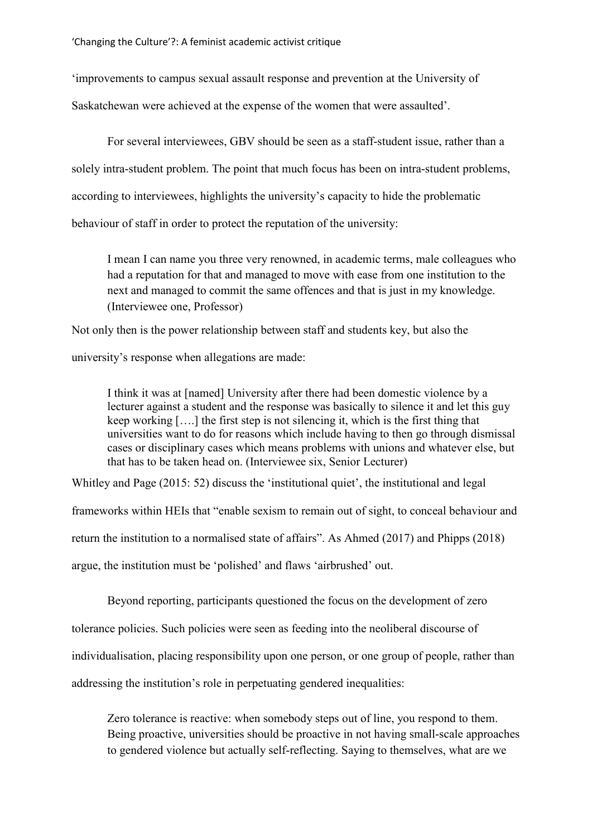'improvements to campus sexual assault response and prevention at the University of

Saskatchewan were achieved at the expense of the women that were assaulted'.

For several interviewees, GBV should be seen as a staff-student issue, rather than a solely intra-student problem. The point that much focus has been on intra-student problems, according to interviewees, highlights the university's capacity to hide the problematic behaviour of staff in order to protect the reputation of the university:

I mean I can name you three very renowned, in academic terms, male colleagues who had a reputation for that and managed to move with ease from one institution to the next and managed to commit the same offences and that is just in my knowledge. (Interviewee one, Professor)

Not only then is the power relationship between staff and students key, but also the

university's response when allegations are made:

I think it was at [named] University after there had been domestic violence by a lecturer against a student and the response was basically to silence it and let this guy keep working [….] the first step is not silencing it, which is the first thing that universities want to do for reasons which include having to then go through dismissal cases or disciplinary cases which means problems with unions and whatever else, but that has to be taken head on. (Interviewee six, Senior Lecturer)

Whitley and Page (2015: 52) discuss the 'institutional quiet', the institutional and legal

frameworks within HEIs that "enable sexism to remain out of sight, to conceal behaviour and

return the institution to a normalised state of affairs". As Ahmed (2017) and Phipps (2018)

argue, the institution must be 'polished' and flaws 'airbrushed' out.

Beyond reporting, participants questioned the focus on the development of zero tolerance policies. Such policies were seen as feeding into the neoliberal discourse of individualisation, placing responsibility upon one person, or one group of people, rather than addressing the institution's role in perpetuating gendered inequalities:

Zero tolerance is reactive: when somebody steps out of line, you respond to them. Being proactive, universities should be proactive in not having small-scale approaches to gendered violence but actually self-reflecting. Saying to themselves, what are we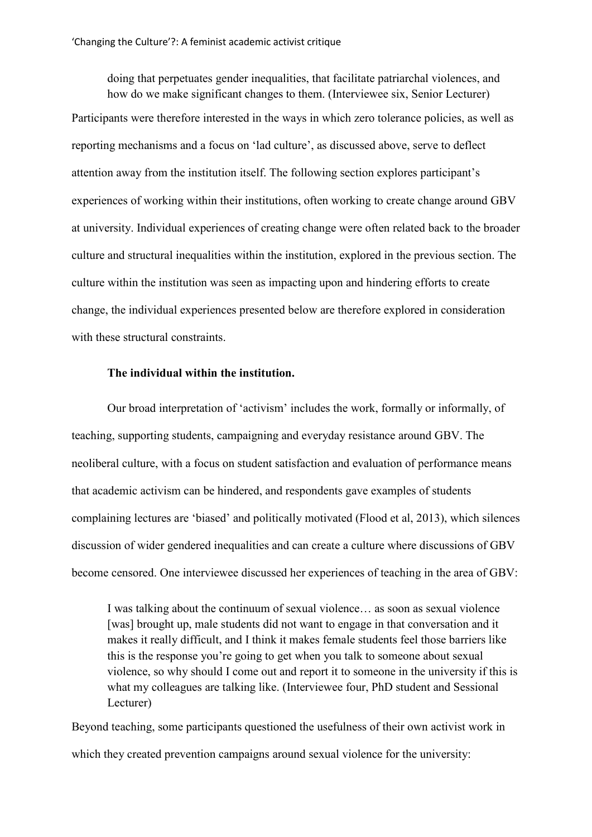doing that perpetuates gender inequalities, that facilitate patriarchal violences, and how do we make significant changes to them. (Interviewee six, Senior Lecturer) Participants were therefore interested in the ways in which zero tolerance policies, as well as reporting mechanisms and a focus on 'lad culture', as discussed above, serve to deflect attention away from the institution itself. The following section explores participant's experiences of working within their institutions, often working to create change around GBV at university. Individual experiences of creating change were often related back to the broader culture and structural inequalities within the institution, explored in the previous section. The culture within the institution was seen as impacting upon and hindering efforts to create change, the individual experiences presented below are therefore explored in consideration with these structural constraints.

## **The individual within the institution.**

Our broad interpretation of 'activism' includes the work, formally or informally, of teaching, supporting students, campaigning and everyday resistance around GBV. The neoliberal culture, with a focus on student satisfaction and evaluation of performance means that academic activism can be hindered, and respondents gave examples of students complaining lectures are 'biased' and politically motivated (Flood et al, 2013), which silences discussion of wider gendered inequalities and can create a culture where discussions of GBV become censored. One interviewee discussed her experiences of teaching in the area of GBV:

I was talking about the continuum of sexual violence… as soon as sexual violence [was] brought up, male students did not want to engage in that conversation and it makes it really difficult, and I think it makes female students feel those barriers like this is the response you're going to get when you talk to someone about sexual violence, so why should I come out and report it to someone in the university if this is what my colleagues are talking like. (Interviewee four, PhD student and Sessional Lecturer)

Beyond teaching, some participants questioned the usefulness of their own activist work in which they created prevention campaigns around sexual violence for the university: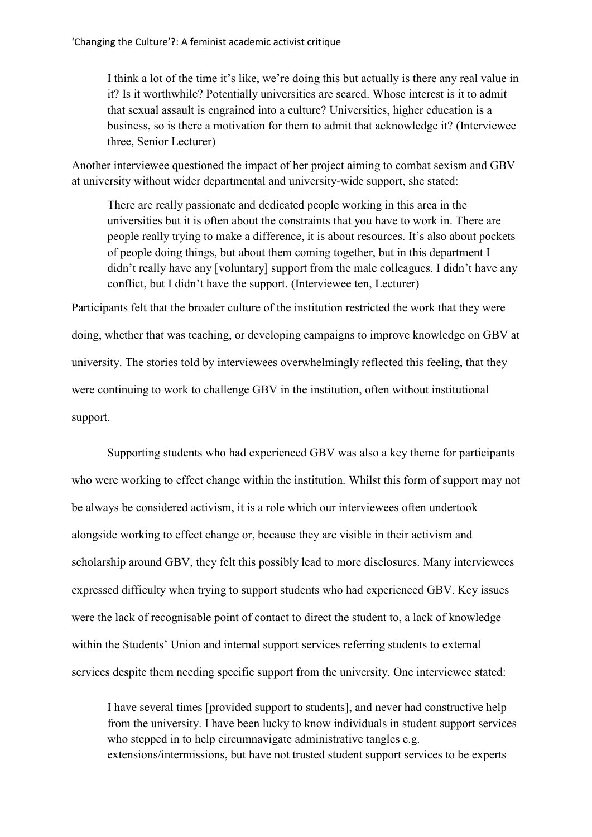I think a lot of the time it's like, we're doing this but actually is there any real value in it? Is it worthwhile? Potentially universities are scared. Whose interest is it to admit that sexual assault is engrained into a culture? Universities, higher education is a business, so is there a motivation for them to admit that acknowledge it? (Interviewee three, Senior Lecturer)

Another interviewee questioned the impact of her project aiming to combat sexism and GBV at university without wider departmental and university-wide support, she stated:

There are really passionate and dedicated people working in this area in the universities but it is often about the constraints that you have to work in. There are people really trying to make a difference, it is about resources. It's also about pockets of people doing things, but about them coming together, but in this department I didn't really have any [voluntary] support from the male colleagues. I didn't have any conflict, but I didn't have the support. (Interviewee ten, Lecturer)

Participants felt that the broader culture of the institution restricted the work that they were doing, whether that was teaching, or developing campaigns to improve knowledge on GBV at university. The stories told by interviewees overwhelmingly reflected this feeling, that they were continuing to work to challenge GBV in the institution, often without institutional support.

Supporting students who had experienced GBV was also a key theme for participants who were working to effect change within the institution. Whilst this form of support may not be always be considered activism, it is a role which our interviewees often undertook alongside working to effect change or, because they are visible in their activism and scholarship around GBV, they felt this possibly lead to more disclosures. Many interviewees expressed difficulty when trying to support students who had experienced GBV. Key issues were the lack of recognisable point of contact to direct the student to, a lack of knowledge within the Students' Union and internal support services referring students to external services despite them needing specific support from the university. One interviewee stated:

I have several times [provided support to students], and never had constructive help from the university. I have been lucky to know individuals in student support services who stepped in to help circumnavigate administrative tangles e.g. extensions/intermissions, but have not trusted student support services to be experts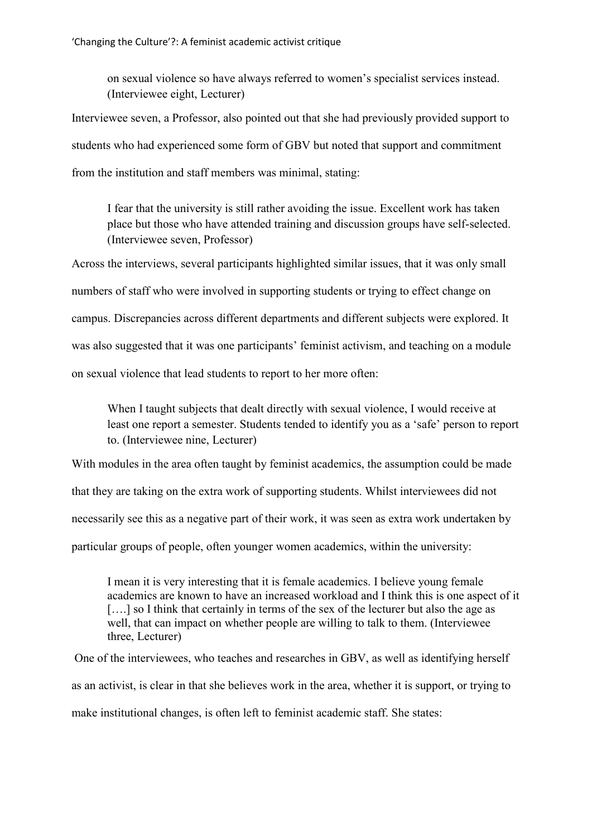on sexual violence so have always referred to women's specialist services instead. (Interviewee eight, Lecturer)

Interviewee seven, a Professor, also pointed out that she had previously provided support to students who had experienced some form of GBV but noted that support and commitment from the institution and staff members was minimal, stating:

I fear that the university is still rather avoiding the issue. Excellent work has taken place but those who have attended training and discussion groups have self-selected. (Interviewee seven, Professor)

Across the interviews, several participants highlighted similar issues, that it was only small numbers of staff who were involved in supporting students or trying to effect change on campus. Discrepancies across different departments and different subjects were explored. It was also suggested that it was one participants' feminist activism, and teaching on a module on sexual violence that lead students to report to her more often:

When I taught subjects that dealt directly with sexual violence, I would receive at least one report a semester. Students tended to identify you as a 'safe' person to report to. (Interviewee nine, Lecturer)

With modules in the area often taught by feminist academics, the assumption could be made that they are taking on the extra work of supporting students. Whilst interviewees did not necessarily see this as a negative part of their work, it was seen as extra work undertaken by particular groups of people, often younger women academics, within the university:

I mean it is very interesting that it is female academics. I believe young female academics are known to have an increased workload and I think this is one aspect of it [...] so I think that certainly in terms of the sex of the lecturer but also the age as well, that can impact on whether people are willing to talk to them. (Interviewee three, Lecturer)

One of the interviewees, who teaches and researches in GBV, as well as identifying herself as an activist, is clear in that she believes work in the area, whether it is support, or trying to make institutional changes, is often left to feminist academic staff. She states: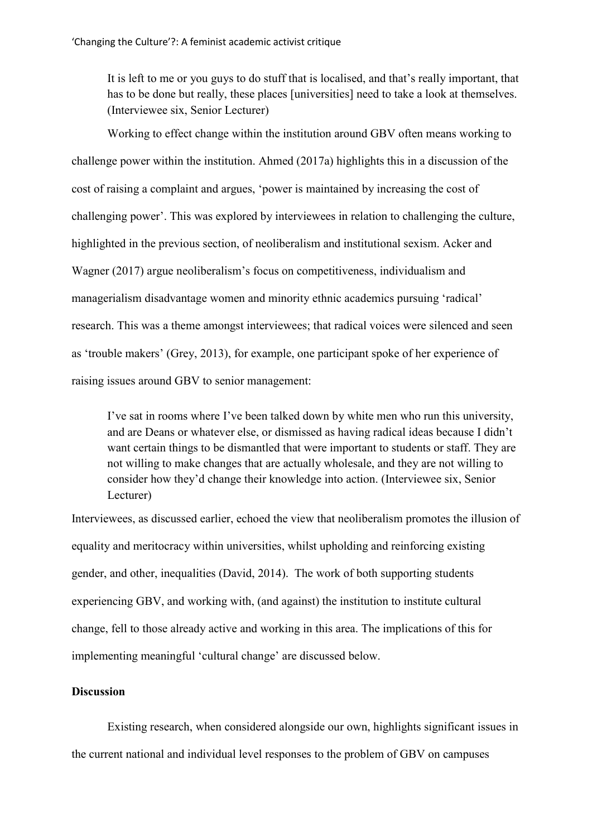It is left to me or you guys to do stuff that is localised, and that's really important, that has to be done but really, these places [universities] need to take a look at themselves. (Interviewee six, Senior Lecturer)

Working to effect change within the institution around GBV often means working to challenge power within the institution. Ahmed (2017a) highlights this in a discussion of the cost of raising a complaint and argues, 'power is maintained by increasing the cost of challenging power'. This was explored by interviewees in relation to challenging the culture, highlighted in the previous section, of neoliberalism and institutional sexism. Acker and Wagner (2017) argue neoliberalism's focus on competitiveness, individualism and managerialism disadvantage women and minority ethnic academics pursuing 'radical' research. This was a theme amongst interviewees; that radical voices were silenced and seen as 'trouble makers' (Grey, 2013), for example, one participant spoke of her experience of raising issues around GBV to senior management:

I've sat in rooms where I've been talked down by white men who run this university, and are Deans or whatever else, or dismissed as having radical ideas because I didn't want certain things to be dismantled that were important to students or staff. They are not willing to make changes that are actually wholesale, and they are not willing to consider how they'd change their knowledge into action. (Interviewee six, Senior Lecturer)

Interviewees, as discussed earlier, echoed the view that neoliberalism promotes the illusion of equality and meritocracy within universities, whilst upholding and reinforcing existing gender, and other, inequalities (David, 2014). The work of both supporting students experiencing GBV, and working with, (and against) the institution to institute cultural change, fell to those already active and working in this area. The implications of this for implementing meaningful 'cultural change' are discussed below.

# **Discussion**

Existing research, when considered alongside our own, highlights significant issues in the current national and individual level responses to the problem of GBV on campuses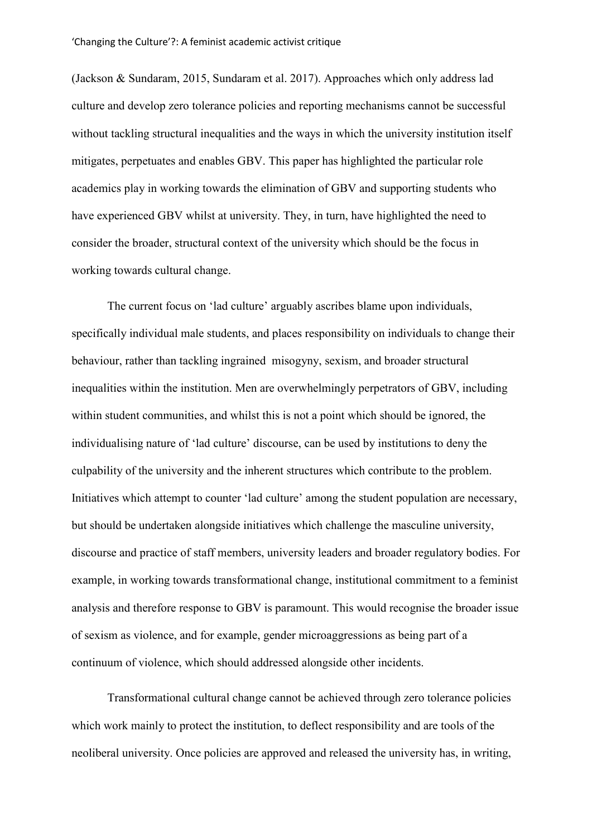(Jackson & Sundaram, 2015, Sundaram et al. 2017). Approaches which only address lad culture and develop zero tolerance policies and reporting mechanisms cannot be successful without tackling structural inequalities and the ways in which the university institution itself mitigates, perpetuates and enables GBV. This paper has highlighted the particular role academics play in working towards the elimination of GBV and supporting students who have experienced GBV whilst at university. They, in turn, have highlighted the need to consider the broader, structural context of the university which should be the focus in working towards cultural change.

The current focus on 'lad culture' arguably ascribes blame upon individuals, specifically individual male students, and places responsibility on individuals to change their behaviour, rather than tackling ingrained misogyny, sexism, and broader structural inequalities within the institution. Men are overwhelmingly perpetrators of GBV, including within student communities, and whilst this is not a point which should be ignored, the individualising nature of 'lad culture' discourse, can be used by institutions to deny the culpability of the university and the inherent structures which contribute to the problem. Initiatives which attempt to counter 'lad culture' among the student population are necessary, but should be undertaken alongside initiatives which challenge the masculine university, discourse and practice of staff members, university leaders and broader regulatory bodies. For example, in working towards transformational change, institutional commitment to a feminist analysis and therefore response to GBV is paramount. This would recognise the broader issue of sexism as violence, and for example, gender microaggressions as being part of a continuum of violence, which should addressed alongside other incidents.

Transformational cultural change cannot be achieved through zero tolerance policies which work mainly to protect the institution, to deflect responsibility and are tools of the neoliberal university. Once policies are approved and released the university has, in writing,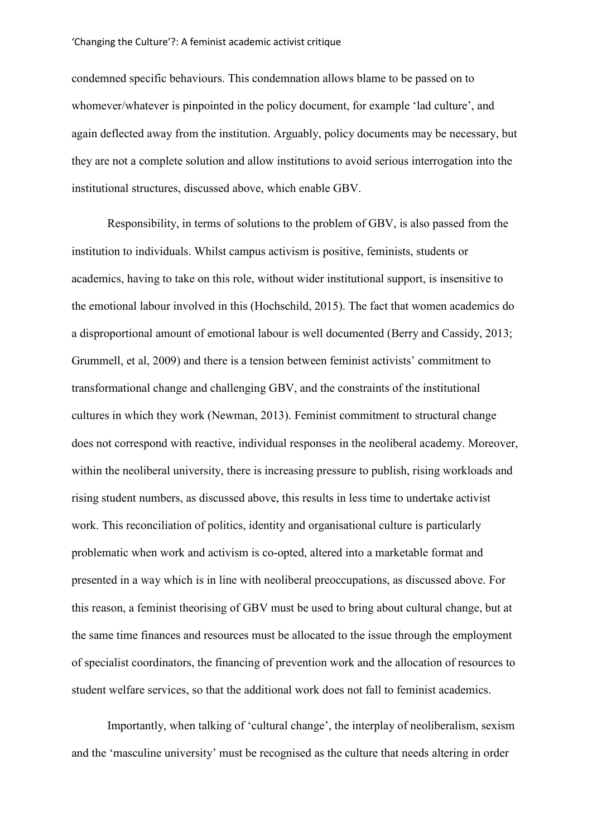condemned specific behaviours. This condemnation allows blame to be passed on to whomever/whatever is pinpointed in the policy document, for example 'lad culture', and again deflected away from the institution. Arguably, policy documents may be necessary, but they are not a complete solution and allow institutions to avoid serious interrogation into the institutional structures, discussed above, which enable GBV.

Responsibility, in terms of solutions to the problem of GBV, is also passed from the institution to individuals. Whilst campus activism is positive, feminists, students or academics, having to take on this role, without wider institutional support, is insensitive to the emotional labour involved in this (Hochschild, 2015). The fact that women academics do a disproportional amount of emotional labour is well documented (Berry and Cassidy, 2013; Grummell, et al, 2009) and there is a tension between feminist activists' commitment to transformational change and challenging GBV, and the constraints of the institutional cultures in which they work (Newman, 2013). Feminist commitment to structural change does not correspond with reactive, individual responses in the neoliberal academy. Moreover, within the neoliberal university, there is increasing pressure to publish, rising workloads and rising student numbers, as discussed above, this results in less time to undertake activist work. This reconciliation of politics, identity and organisational culture is particularly problematic when work and activism is co-opted, altered into a marketable format and presented in a way which is in line with neoliberal preoccupations, as discussed above. For this reason, a feminist theorising of GBV must be used to bring about cultural change, but at the same time finances and resources must be allocated to the issue through the employment of specialist coordinators, the financing of prevention work and the allocation of resources to student welfare services, so that the additional work does not fall to feminist academics.

Importantly, when talking of 'cultural change', the interplay of neoliberalism, sexism and the 'masculine university' must be recognised as the culture that needs altering in order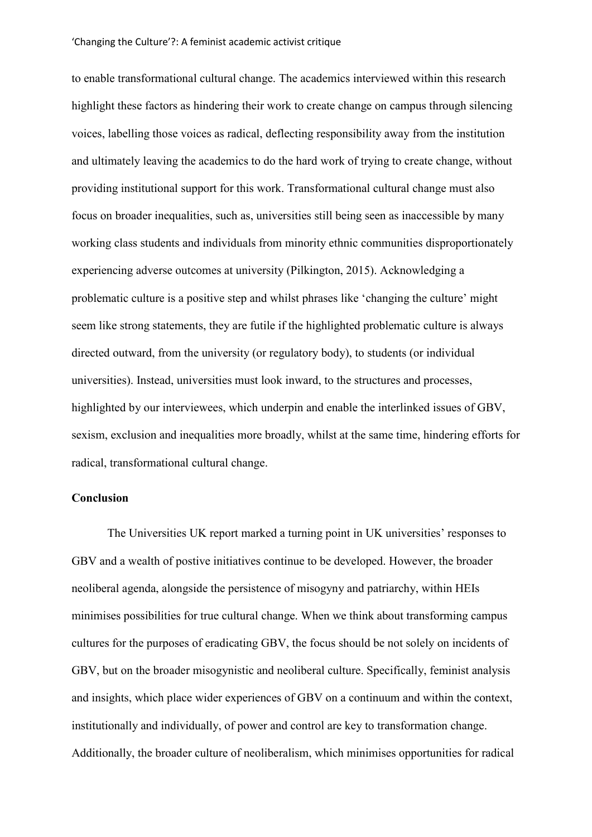to enable transformational cultural change. The academics interviewed within this research highlight these factors as hindering their work to create change on campus through silencing voices, labelling those voices as radical, deflecting responsibility away from the institution and ultimately leaving the academics to do the hard work of trying to create change, without providing institutional support for this work. Transformational cultural change must also focus on broader inequalities, such as, universities still being seen as inaccessible by many working class students and individuals from minority ethnic communities disproportionately experiencing adverse outcomes at university (Pilkington, 2015). Acknowledging a problematic culture is a positive step and whilst phrases like 'changing the culture' might seem like strong statements, they are futile if the highlighted problematic culture is always directed outward, from the university (or regulatory body), to students (or individual universities). Instead, universities must look inward, to the structures and processes, highlighted by our interviewees, which underpin and enable the interlinked issues of GBV, sexism, exclusion and inequalities more broadly, whilst at the same time, hindering efforts for radical, transformational cultural change.

## **Conclusion**

The Universities UK report marked a turning point in UK universities' responses to GBV and a wealth of postive initiatives continue to be developed. However, the broader neoliberal agenda, alongside the persistence of misogyny and patriarchy, within HEIs minimises possibilities for true cultural change. When we think about transforming campus cultures for the purposes of eradicating GBV, the focus should be not solely on incidents of GBV, but on the broader misogynistic and neoliberal culture. Specifically, feminist analysis and insights, which place wider experiences of GBV on a continuum and within the context, institutionally and individually, of power and control are key to transformation change. Additionally, the broader culture of neoliberalism, which minimises opportunities for radical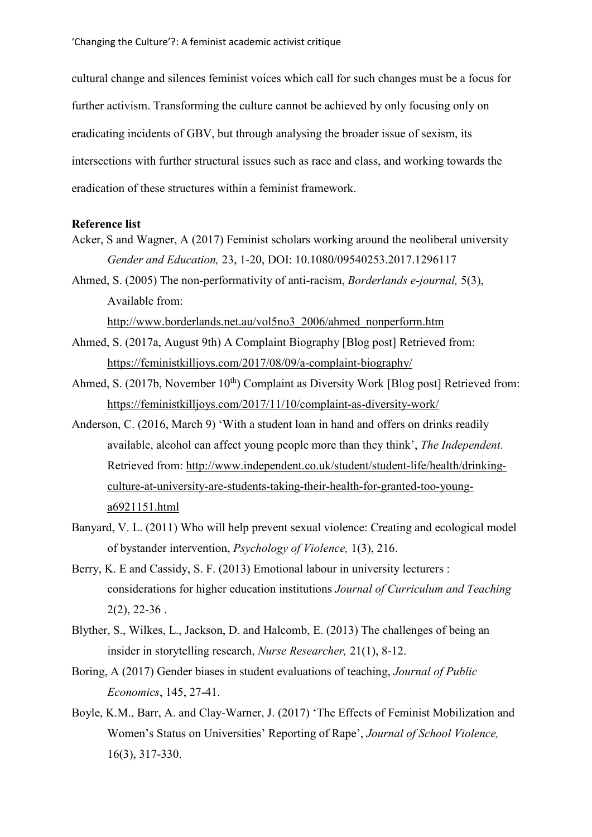cultural change and silences feminist voices which call for such changes must be a focus for further activism. Transforming the culture cannot be achieved by only focusing only on eradicating incidents of GBV, but through analysing the broader issue of sexism, its intersections with further structural issues such as race and class, and working towards the eradication of these structures within a feminist framework.

## **Reference list**

- Acker, S and Wagner, A (2017) Feminist scholars working around the neoliberal university *Gender and Education,* 23, 1-20, DOI: 10.1080/09540253.2017.1296117
- Ahmed, S. (2005) The non-performativity of anti-racism, *Borderlands e-journal,* 5(3), Available from:

[http://www.borderlands.net.au/vol5no3\\_2006/ahmed\\_nonperform.htm](http://www.borderlands.net.au/vol5no3_2006/ahmed_nonperform.htm)

- Ahmed, S. (2017a, August 9th) A Complaint Biography [Blog post] Retrieved from: <https://feministkilljoys.com/2017/08/09/a-complaint-biography/>
- Ahmed, S. (2017b, November  $10<sup>th</sup>$ ) Complaint as Diversity Work [Blog post] Retrieved from: <https://feministkilljoys.com/2017/11/10/complaint-as-diversity-work/>
- Anderson, C. (2016, March 9) 'With a student loan in hand and offers on drinks readily available, alcohol can affect young people more than they think', *The Independent.*  Retrieved from: [http://www.independent.co.uk/student/student-life/health/drinking](http://www.independent.co.uk/student/student-life/health/drinking-culture-at-university-are-students-taking-their-health-for-granted-too-young-a6921151.html)[culture-at-university-are-students-taking-their-health-for-granted-too-young](http://www.independent.co.uk/student/student-life/health/drinking-culture-at-university-are-students-taking-their-health-for-granted-too-young-a6921151.html)[a6921151.html](http://www.independent.co.uk/student/student-life/health/drinking-culture-at-university-are-students-taking-their-health-for-granted-too-young-a6921151.html)
- Banyard, V. L. (2011) Who will help prevent sexual violence: Creating and ecological model of bystander intervention, *Psychology of Violence,* 1(3), 216.
- Berry, K. E and Cassidy, S. F. (2013) Emotional labour in university lecturers : considerations for higher education institutions *Journal of Curriculum and Teaching*  $2(2)$ ,  $22-36$ .
- Blyther, S., Wilkes, L., Jackson, D. and Halcomb, E. (2013) The challenges of being an insider in storytelling research, *Nurse Researcher,* 21(1), 8-12.
- Boring, A (2017) Gender biases in student evaluations of teaching, *Journal of Public Economics*, 145, 27-41.
- Boyle, K.M., Barr, A. and Clay-Warner, J. (2017) 'The Effects of Feminist Mobilization and Women's Status on Universities' Reporting of Rape', *Journal of School Violence,*  16(3), 317-330.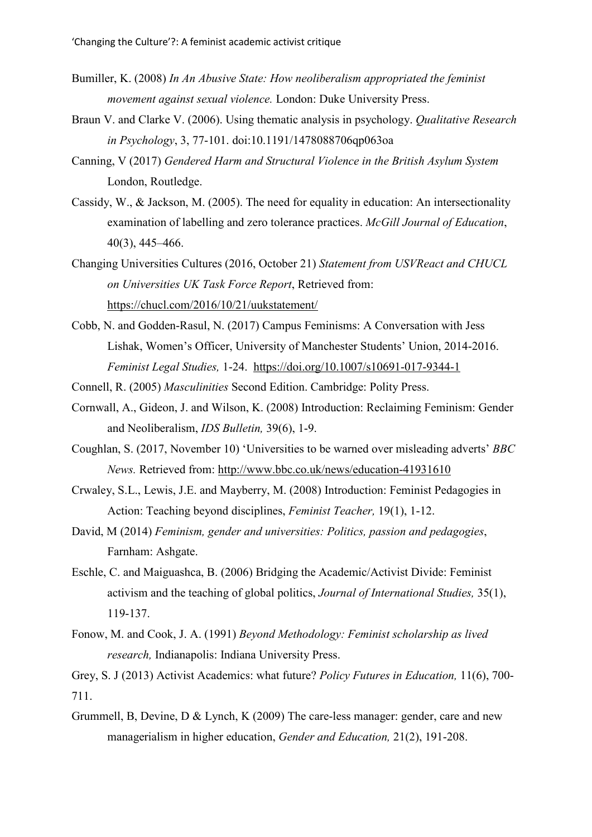- Bumiller, K. (2008) *In An Abusive State: How neoliberalism appropriated the feminist movement against sexual violence.* London: Duke University Press.
- Braun V. and Clarke V. (2006). Using thematic analysis in psychology. *Qualitative Research in Psychology*, 3, 77-101. doi:10.1191/1478088706qp063oa
- Canning, V (2017) *Gendered Harm and Structural Violence in the British Asylum System*  London, Routledge.
- Cassidy, W., & Jackson, M. (2005). The need for equality in education: An intersectionality examination of labelling and zero tolerance practices. *McGill Journal of Education*, 40(3), 445–466.
- Changing Universities Cultures (2016, October 21) *Statement from USVReact and CHUCL on Universities UK Task Force Report*, Retrieved from: <https://chucl.com/2016/10/21/uukstatement/>
- Cobb, N. and Godden-Rasul, N. (2017) Campus Feminisms: A Conversation with Jess Lishak, Women's Officer, University of Manchester Students' Union, 2014-2016. *Feminist Legal Studies,* 1-24. <https://doi.org/10.1007/s10691-017-9344-1>

Connell, R. (2005) *Masculinities* Second Edition. Cambridge: Polity Press.

- Cornwall, A., Gideon, J. and Wilson, K. (2008) Introduction: Reclaiming Feminism: Gender and Neoliberalism, *IDS Bulletin,* 39(6), 1-9.
- Coughlan, S. (2017, November 10) 'Universities to be warned over misleading adverts' *BBC News.* Retrieved from:<http://www.bbc.co.uk/news/education-41931610>
- Crwaley, S.L., Lewis, J.E. and Mayberry, M. (2008) Introduction: Feminist Pedagogies in Action: Teaching beyond disciplines, *Feminist Teacher,* 19(1), 1-12.
- David, M (2014) *Feminism, gender and universities: Politics, passion and pedagogies*, Farnham: Ashgate.
- Eschle, C. and Maiguashca, B. (2006) Bridging the Academic/Activist Divide: Feminist activism and the teaching of global politics, *Journal of International Studies,* 35(1), 119-137.
- Fonow, M. and Cook, J. A. (1991) *Beyond Methodology: Feminist scholarship as lived research,* Indianapolis: Indiana University Press.

Grey, S. J (2013) Activist Academics: what future? *Policy Futures in Education,* 11(6), 700- 711.

Grummell, B, Devine, D & Lynch, K (2009) The care-less manager: gender, care and new managerialism in higher education, *Gender and Education,* 21(2), 191-208.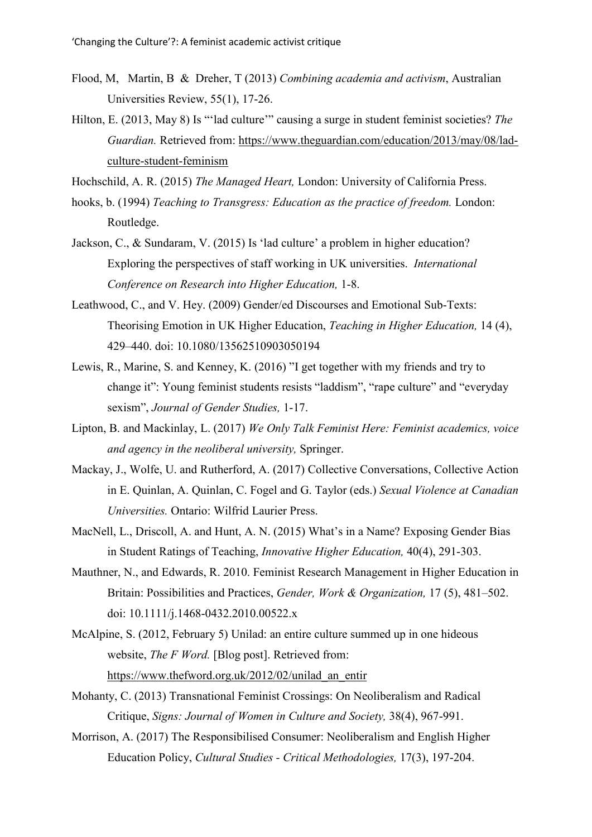- Flood, M, Martin, B & Dreher, T (2013) *Combining academia and activism*, Australian Universities Review, 55(1), 17-26.
- Hilton, E. (2013, May 8) Is "'lad culture'" causing a surge in student feminist societies? *The Guardian.* Retrieved from: [https://www.theguardian.com/education/2013/may/08/lad](https://www.theguardian.com/education/2013/may/08/lad-culture-student-feminism)[culture-student-feminism](https://www.theguardian.com/education/2013/may/08/lad-culture-student-feminism)
- Hochschild, A. R. (2015) *The Managed Heart,* London: University of California Press.
- hooks, b. (1994) *Teaching to Transgress: Education as the practice of freedom.* London: Routledge.
- Jackson, C., & Sundaram, V. (2015) Is 'lad culture' a problem in higher education? Exploring the perspectives of staff working in UK universities. *International Conference on Research into Higher Education,* 1-8.
- Leathwood, C., and V. Hey. (2009) Gender/ed Discourses and Emotional Sub-Texts: Theorising Emotion in UK Higher Education, *Teaching in Higher Education,* 14 (4), 429–440. doi: 10.1080/13562510903050194
- Lewis, R., Marine, S. and Kenney, K. (2016) "I get together with my friends and try to change it": Young feminist students resists "laddism", "rape culture" and "everyday sexism", *Journal of Gender Studies,* 1-17.
- Lipton, B. and Mackinlay, L. (2017) *We Only Talk Feminist Here: Feminist academics, voice and agency in the neoliberal university,* Springer.
- Mackay, J., Wolfe, U. and Rutherford, A. (2017) Collective Conversations, Collective Action in E. Quinlan, A. Quinlan, C. Fogel and G. Taylor (eds.) *Sexual Violence at Canadian Universities.* Ontario: Wilfrid Laurier Press.
- MacNell, L., Driscoll, A. and Hunt, A. N. (2015) What's in a Name? Exposing Gender Bias in Student Ratings of Teaching, *Innovative Higher Education,* 40(4), 291-303.
- Mauthner, N., and Edwards, R. 2010. Feminist Research Management in Higher Education in Britain: Possibilities and Practices, *Gender, Work & Organization,* 17 (5), 481–502. doi: 10.1111/j.1468-0432.2010.00522.x
- McAlpine, S. (2012, February 5) Unilad: an entire culture summed up in one hideous website, *The F Word.* [Blog post]. Retrieved from: [https://www.thefword.org.uk/2012/02/unilad\\_an\\_entir](https://www.thefword.org.uk/2012/02/unilad_an_entir)
- Mohanty, C. (2013) Transnational Feminist Crossings: On Neoliberalism and Radical Critique, *Signs: Journal of Women in Culture and Society,* 38(4), 967-991.
- Morrison, A. (2017) The Responsibilised Consumer: Neoliberalism and English Higher Education Policy, *Cultural Studies - Critical Methodologies,* 17(3), 197-204.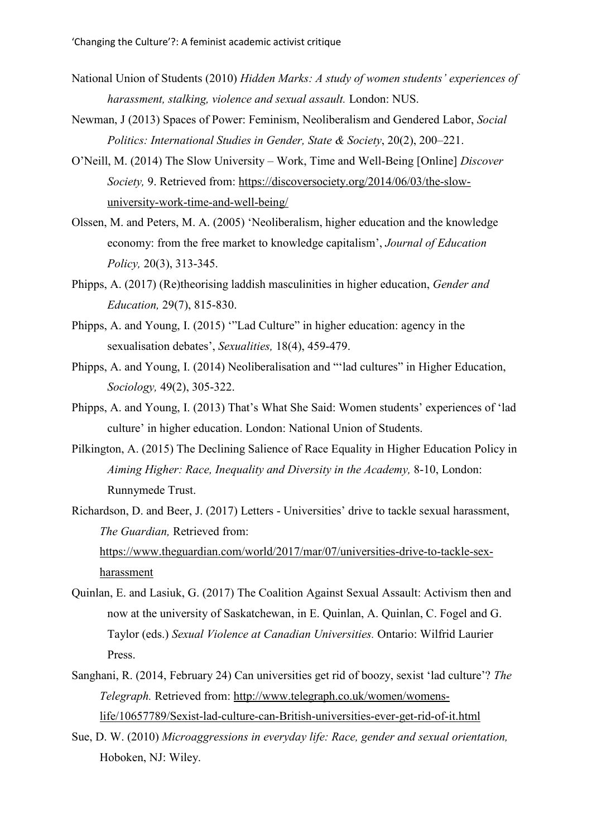- National Union of Students (2010) *Hidden Marks: A study of women students' experiences of harassment, stalking, violence and sexual assault.* London: NUS.
- Newman, J (2013) Spaces of Power: Feminism, Neoliberalism and Gendered Labor, *Social Politics: International Studies in Gender, State & Society*, 20(2), 200–221.
- O'Neill, M. (2014) The Slow University Work, Time and Well-Being [Online] *Discover Society,* 9. Retrieved from: [https://discoversociety.org/2014/06/03/the-slow](https://discoversociety.org/2014/06/03/the-slow-university-work-time-and-well-being/)[university-work-time-and-well-being/](https://discoversociety.org/2014/06/03/the-slow-university-work-time-and-well-being/)
- Olssen, M. and Peters, M. A. (2005) 'Neoliberalism, higher education and the knowledge economy: from the free market to knowledge capitalism', *Journal of Education Policy,* 20(3), 313-345.
- Phipps, A. (2017) (Re)theorising laddish masculinities in higher education, *Gender and Education,* 29(7), 815-830.
- Phipps, A. and Young, I. (2015) '"Lad Culture" in higher education: agency in the sexualisation debates', *Sexualities,* 18(4), 459-479.
- Phipps, A. and Young, I. (2014) Neoliberalisation and "'lad cultures" in Higher Education, *Sociology,* 49(2), 305-322.
- Phipps, A. and Young, I. (2013) That's What She Said: Women students' experiences of 'lad culture' in higher education. London: National Union of Students.
- Pilkington, A. (2015) The Declining Salience of Race Equality in Higher Education Policy in *Aiming Higher: Race, Inequality and Diversity in the Academy,* 8-10, London: Runnymede Trust.
- Richardson, D. and Beer, J. (2017) Letters Universities' drive to tackle sexual harassment, *The Guardian,* Retrieved from: [https://www.theguardian.com/world/2017/mar/07/universities-drive-to-tackle-sex](https://www.theguardian.com/world/2017/mar/07/universities-drive-to-tackle-sex-harassment)[harassment](https://www.theguardian.com/world/2017/mar/07/universities-drive-to-tackle-sex-harassment)
- Quinlan, E. and Lasiuk, G. (2017) The Coalition Against Sexual Assault: Activism then and now at the university of Saskatchewan, in E. Quinlan, A. Quinlan, C. Fogel and G. Taylor (eds.) *Sexual Violence at Canadian Universities.* Ontario: Wilfrid Laurier Press.
- Sanghani, R. (2014, February 24) Can universities get rid of boozy, sexist 'lad culture'? *The Telegraph.* Retrieved from: [http://www.telegraph.co.uk/women/womens](http://www.telegraph.co.uk/women/womens-life/10657789/Sexist-lad-culture-can-British-universities-ever-get-rid-of-it.html)[life/10657789/Sexist-lad-culture-can-British-universities-ever-get-rid-of-it.html](http://www.telegraph.co.uk/women/womens-life/10657789/Sexist-lad-culture-can-British-universities-ever-get-rid-of-it.html)
- Sue, D. W. (2010) *Microaggressions in everyday life: Race, gender and sexual orientation,* Hoboken, NJ: Wiley.